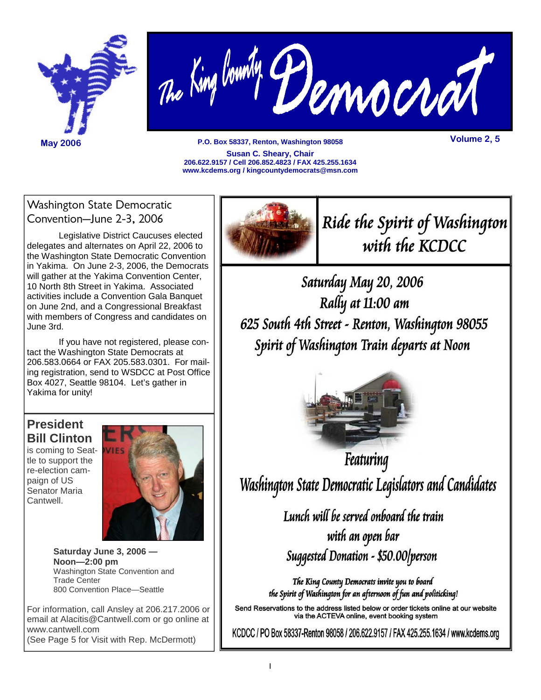



**P.O. Box 58337, Renton, Washington 98058 May 2006 Volume 2, 5 Susan C. Sheary, Chair 206.622.9157 / Cell 206.852.4823 / FAX 425.255.1634 www.kcdems.org / kingcountydemocrats@msn.com** 

### Washington State Democratic Convention–June 2-3, 2006

 Legislative District Caucuses elected delegates and alternates on April 22, 2006 to the Washington State Democratic Convention in Yakima. On June 2-3, 2006, the Democrats will gather at the Yakima Convention Center, 10 North 8th Street in Yakima. Associated activities include a Convention Gala Banquet on June 2nd, and a Congressional Breakfast with members of Congress and candidates on June 3rd.

 If you have not registered, please contact the Washington State Democrats at 206.583.0664 or FAX 205.583.0301. For mailing registration, send to WSDCC at Post Office Box 4027, Seattle 98104. Let's gather in Yakima for unity!

## **President Bill Clinton**

is coming to Seattle to support the re-election campaign of US Senator Maria Cantwell.



**Saturday June 3, 2006 — Noon—2:00 pm** Washington State Convention and Trade Center 800 Convention Place—Seattle

For information, call Ansley at 206.217.2006 or email at Alacitis@Cantwell.com or go online at www.cantwell.com (See Page 5 for Visit with Rep. McDermott)



Ride the Spirit of Washington with the KCDCC

Saturday May 20, 2006 Rally at 11:00 am 625 South 4th Street - Renton, Washington 98055 Spirit of Washington Train departs at Noon



Featuring Washington State Democratic Legislators and Candidates

> Lunch will be served onboard the train with an open bar Suggested Donation - \$50.00/person

The King County Democrats invite you to board the Spirit of Washington for an afternoon of fun and politicking!

Send Reservations to the address listed below or order tickets online at our website via the ACTEVA online, event booking system

KCDCC / PO Box 58337-Renton 98058 / 206.622.9157 / FAX 425.255.1634 / www.kcdems.org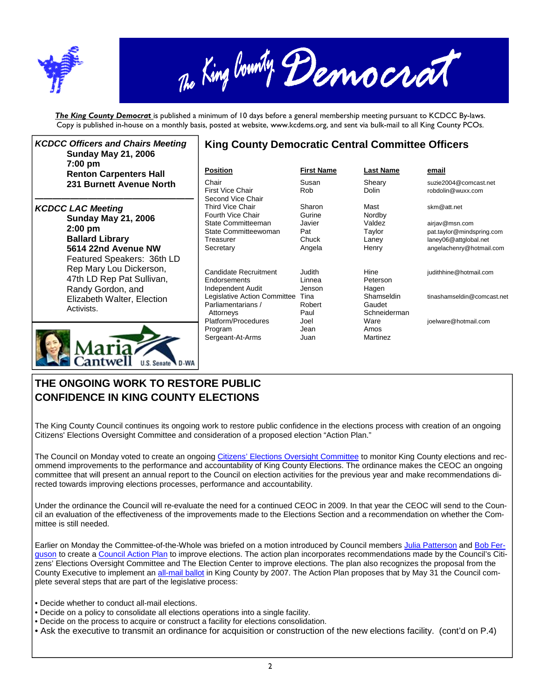



*The King County Democrat* is published a minimum of 10 days before a general membership meeting pursuant to KCDCC By-laws. Copy is published in-house on a monthly basis, posted at website, www.kcdems.org, and sent via bulk-mail to all King County PCOs.

| <b>KCDCC Officers and Chairs Meeting</b><br><b>Sunday May 21, 2006</b>                                                                              | <b>King County Democratic Central Committee Officers</b>                                                                      |                                                       |                                                                           |                                                                                                                 |  |  |  |  |  |
|-----------------------------------------------------------------------------------------------------------------------------------------------------|-------------------------------------------------------------------------------------------------------------------------------|-------------------------------------------------------|---------------------------------------------------------------------------|-----------------------------------------------------------------------------------------------------------------|--|--|--|--|--|
| 7:00 pm<br><b>Renton Carpenters Hall</b>                                                                                                            | <b>Position</b>                                                                                                               | <b>First Name</b>                                     | <b>Last Name</b>                                                          | email                                                                                                           |  |  |  |  |  |
| 231 Burnett Avenue North                                                                                                                            | Chair<br><b>First Vice Chair</b><br>Second Vice Chair                                                                         | Susan<br>Rob                                          | Sheary<br>Dolin                                                           | suzie2004@comcast.net<br>robdolin@wuxx.com                                                                      |  |  |  |  |  |
| <b>KCDCC LAC Meeting</b><br><b>Sunday May 21, 2006</b><br>$2:00$ pm<br><b>Ballard Library</b><br>5614 22nd Avenue NW                                | Third Vice Chair<br>Fourth Vice Chair<br>State Committeeman<br>State Committeewoman<br>Treasurer<br>Secretary                 | Sharon<br>Gurine<br>Javier<br>Pat<br>Chuck<br>Angela  | Mast<br>Nordby<br>Valdez<br>Taylor<br>Laney<br>Henry                      | skm@att.net<br>airjav@msn.com<br>pat.taylor@mindspring.com<br>laney06@attglobal.net<br>angelachenry@hotmail.com |  |  |  |  |  |
| Featured Speakers: 36th LD<br>Rep Mary Lou Dickerson,<br>47th LD Rep Pat Sullivan,<br>Randy Gordon, and<br>Elizabeth Walter, Election<br>Activists. | Candidate Recruitment<br>Endorsements<br>Independent Audit<br>Legislative Action Committee<br>Parliamentarians /<br>Attorneys | Judith<br>I innea<br>Jenson<br>Tina<br>Robert<br>Paul | Hine<br>Peterson<br>Hagen<br>Shamseldin<br>Gaudet<br>Schneiderman<br>Ware | judithhine@hotmail.com<br>tinashamseldin@comcast.net                                                            |  |  |  |  |  |
|                                                                                                                                                     | Platform/Procedures<br>Program<br>Sergeant-At-Arms                                                                            | Joel<br>Jean<br>Juan                                  | Amos<br>Martinez                                                          | joelware@hotmail.com                                                                                            |  |  |  |  |  |

## **THE ONGOING WORK TO RESTORE PUBLIC CONFIDENCE IN KING COUNTY ELECTIONS**

**U.S. Senate** 

The King County Council continues its ongoing work to restore public confidence in the elections process with creation of an ongoing Citizens' Elections Oversight Committee and consideration of a proposed election "Action Plan."

The Council on Monday voted to create an ongoing Citizens' Elections Oversight Committee to monitor King County elections and recommend improvements to the performance and accountability of King County Elections. The ordinance makes the CEOC an ongoing committee that will present an annual report to the Council on election activities for the previous year and make recommendations directed towards improving elections processes, performance and accountability.

Under the ordinance the Council will re-evaluate the need for a continued CEOC in 2009. In that year the CEOC will send to the Council an evaluation of the effectiveness of the improvements made to the Elections Section and a recommendation on whether the Committee is still needed.

Earlier on Monday the Committee-of-the-Whole was briefed on a motion introduced by Council members Julia Patterson and Bob Ferguson to create a Council Action Plan to improve elections. The action plan incorporates recommendations made by the Council's Citizens' Elections Oversight Committee and The Election Center to improve elections. The plan also recognizes the proposal from the County Executive to implement an all-mail ballot in King County by 2007. The Action Plan proposes that by May 31 the Council complete several steps that are part of the legislative process:

- Decide whether to conduct all-mail elections.
- Decide on a policy to consolidate all elections operations into a single facility.
- Decide on the process to acquire or construct a facility for elections consolidation.
- Ask the executive to transmit an ordinance for acquisition or construction of the new elections facility. (cont'd on P.4)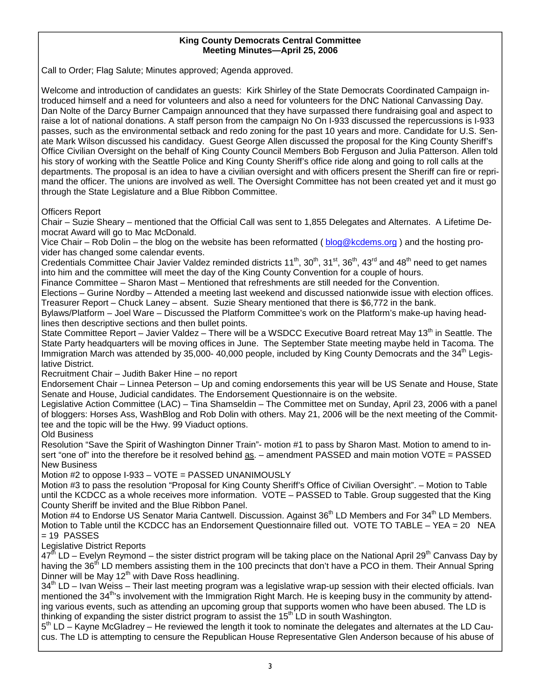#### **King County Democrats Central Committee Meeting Minutes—April 25, 2006**

Call to Order; Flag Salute; Minutes approved; Agenda approved.

Welcome and introduction of candidates an guests: Kirk Shirley of the State Democrats Coordinated Campaign introduced himself and a need for volunteers and also a need for volunteers for the DNC National Canvassing Day. Dan Nolte of the Darcy Burner Campaign announced that they have surpassed there fundraising goal and aspect to raise a lot of national donations. A staff person from the campaign No On I-933 discussed the repercussions is I-933 passes, such as the environmental setback and redo zoning for the past 10 years and more. Candidate for U.S. Senate Mark Wilson discussed his candidacy. Guest George Allen discussed the proposal for the King County Sheriff's Office Civilian Oversight on the behalf of King County Council Members Bob Ferguson and Julia Patterson. Allen told his story of working with the Seattle Police and King County Sheriff's office ride along and going to roll calls at the departments. The proposal is an idea to have a civilian oversight and with officers present the Sheriff can fire or reprimand the officer. The unions are involved as well. The Oversight Committee has not been created yet and it must go through the State Legislature and a Blue Ribbon Committee.

Officers Report

Chair – Suzie Sheary – mentioned that the Official Call was sent to 1,855 Delegates and Alternates. A Lifetime Democrat Award will go to Mac McDonald.

Vice Chair – Rob Dolin – the blog on the website has been reformatted ( $b \log \omega$  kcdems.org) and the hosting provider has changed some calendar events.

Credentials Committee Chair Javier Valdez reminded districts 11<sup>th</sup>, 30<sup>th</sup>, 31<sup>st</sup>, 36<sup>th</sup>, 43<sup>rd</sup> and 48<sup>th</sup> need to get names into him and the committee will meet the day of the King County Convention for a couple of hours.

Finance Committee – Sharon Mast – Mentioned that refreshments are still needed for the Convention.

Elections – Gurine Nordby – Attended a meeting last weekend and discussed nationwide issue with election offices. Treasurer Report – Chuck Laney – absent. Suzie Sheary mentioned that there is \$6,772 in the bank.

Bylaws/Platform – Joel Ware – Discussed the Platform Committee's work on the Platform's make-up having headlines then descriptive sections and then bullet points.

State Committee Report – Javier Valdez – There will be a WSDCC Executive Board retreat May 13<sup>th</sup> in Seattle. The State Party headquarters will be moving offices in June. The September State meeting maybe held in Tacoma. The Immigration March was attended by 35,000- 40,000 people, included by King County Democrats and the 34<sup>th</sup> Legislative District.

Recruitment Chair – Judith Baker Hine – no report

Endorsement Chair – Linnea Peterson – Up and coming endorsements this year will be US Senate and House, State Senate and House, Judicial candidates. The Endorsement Questionnaire is on the website.

Legislative Action Committee (LAC) – Tina Shamseldin – The Committee met on Sunday, April 23, 2006 with a panel of bloggers: Horses Ass, WashBlog and Rob Dolin with others. May 21, 2006 will be the next meeting of the Committee and the topic will be the Hwy. 99 Viaduct options.

Old Business

Resolution "Save the Spirit of Washington Dinner Train"- motion #1 to pass by Sharon Mast. Motion to amend to insert "one of" into the therefore be it resolved behind as. – amendment PASSED and main motion VOTE = PASSED New Business

Motion #2 to oppose I-933 – VOTE = PASSED UNANIMOUSLY

Motion #3 to pass the resolution "Proposal for King County Sheriff's Office of Civilian Oversight". – Motion to Table until the KCDCC as a whole receives more information. VOTE – PASSED to Table. Group suggested that the King County Sheriff be invited and the Blue Ribbon Panel.

Motion #4 to Endorse US Senator Maria Cantwell. Discussion. Against 36<sup>th</sup> LD Members and For 34<sup>th</sup> LD Members. Motion to Table until the KCDCC has an Endorsement Questionnaire filled out. VOTE TO TABLE – YEA = 20 NEA  $= 19$  PASSES

Legislative District Reports

 $47<sup>th</sup>$  LD – Evelyn Reymond – the sister district program will be taking place on the National April 29<sup>th</sup> Canvass Day by having the 36<sup>th</sup> LD members assisting them in the 100 precincts that don't have a PCO in them. Their Annual Spring Dinner will be May  $12<sup>th</sup>$  with Dave Ross headlining.

 $34<sup>th</sup>$  LD – Ivan Weiss – Their last meeting program was a legislative wrap-up session with their elected officials. Ivan mentioned the 34<sup>th</sup>'s involvement with the Immigration Right March. He is keeping busy in the community by attending various events, such as attending an upcoming group that supports women who have been abused. The LD is thinking of expanding the sister district program to assist the  $15<sup>th</sup>$  LD in south Washington.

5<sup>th</sup> LD – Kayne McGladrey – He reviewed the length it took to nominate the delegates and alternates at the LD Caucus. The LD is attempting to censure the Republican House Representative Glen Anderson because of his abuse of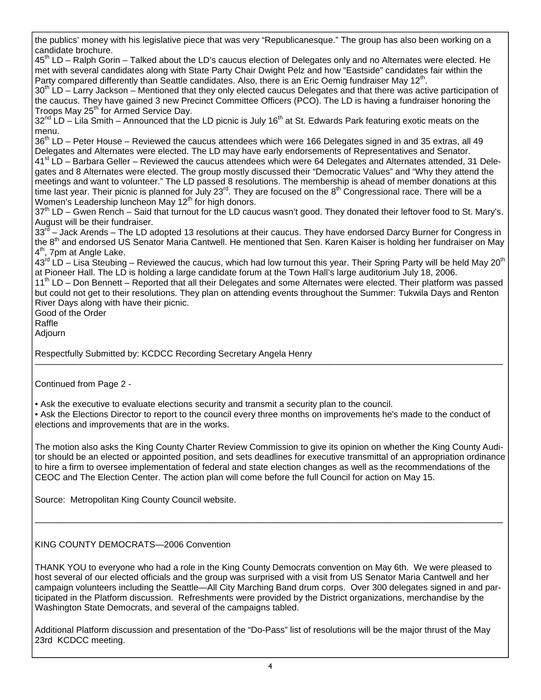the publics' money with his legislative piece that was very "Republicanesque." The group has also been working on a candidate brochure.

45<sup>th</sup> LD – Ralph Gorin – Talked about the LD's caucus election of Delegates only and no Alternates were elected. He met with several candidates along with State Party Chair Dwight Pelz and how "Eastside" candidates fair within the Party compared differently than Seattle candidates. Also, there is an Eric Oemig fundraiser May  $12<sup>th</sup>$ .

 $30<sup>th</sup>$  LD – Larry Jackson – Mentioned that they only elected caucus Delegates and that there was active participation of the caucus. They have gained 3 new Precinct Committee Officers (PCO). The LD is having a fundraiser honoring the Troops May 25<sup>th</sup> for Armed Service Day.

 $32<sup>nd</sup>$  LD – Lila Smith – Announced that the LD picnic is July 16<sup>th</sup> at St. Edwards Park featuring exotic meats on the menu.

36<sup>th</sup> LD – Peter House – Reviewed the caucus attendees which were 166 Delegates signed in and 35 extras, all 49 Delegates and Alternates were elected. The LD may have early endorsements of Representatives and Senator. 41<sup>st</sup> LD – Barbara Geller – Reviewed the caucus attendees which were 64 Delegates and Alternates attended, 31 Delegates and 8 Alternates were elected. The group mostly discussed their "Democratic Values" and "Why they attend the meetings and want to volunteer." The LD passed 8 resolutions. The membership is ahead of member donations at this time last year. Their picnic is planned for July  $23^{rd}$ . They are focused on the  $8^{th}$  Congressional race. There will be a Women's Leadership luncheon May 12<sup>th</sup> for high donors.

 $37<sup>th</sup>$  LD – Gwen Rench – Said that turnout for the LD caucus wasn't good. They donated their leftover food to St. Mary's. August will be their fundraiser.

33<sup>rd</sup> – Jack Arends – The LD adopted 13 resolutions at their caucus. They have endorsed Darcy Burner for Congress in the 8<sup>th</sup> and endorsed US Senator Maria Cantwell. He mentioned that Sen. Karen Kaiser is holding her fundraiser on May 4<sup>th</sup>, 7pm at Angle Lake.

 $43^{rd}$  LD – Lisa Steubing – Reviewed the caucus, which had low turnout this year. Their Spring Party will be held May 20<sup>th</sup> at Pioneer Hall. The LD is holding a large candidate forum at the Town Hall's large auditorium July 18, 2006.

11<sup>th</sup> LD – Don Bennett – Reported that all their Delegates and some Alternates were elected. Their platform was passed but could not get to their resolutions. They plan on attending events throughout the Summer: Tukwila Days and Renton River Days along with have their picnic.

—————————————————————————————————————————————————————

Good of the Order

Raffle

Adjourn

Respectfully Submitted by: KCDCC Recording Secretary Angela Henry

Continued from Page 2 -

• Ask the executive to evaluate elections security and transmit a security plan to the council.

• Ask the Elections Director to report to the council every three months on improvements he's made to the conduct of elections and improvements that are in the works.

The motion also asks the King County Charter Review Commission to give its opinion on whether the King County Auditor should be an elected or appointed position, and sets deadlines for executive transmittal of an appropriation ordinance to hire a firm to oversee implementation of federal and state election changes as well as the recommendations of the CEOC and The Election Center. The action plan will come before the full Council for action on May 15.

—————————————————————————————————————————————————————

Source: Metropolitan King County Council website.

#### KING COUNTY DEMOCRATS—2006 Convention

THANK YOU to everyone who had a role in the King County Democrats convention on May 6th. We were pleased to host several of our elected officials and the group was surprised with a visit from US Senator Maria Cantwell and her campaign volunteers including the Seattle—All City Marching Band drum corps. Over 300 delegates signed in and participated in the Platform discussion. Refreshments were provided by the District organizations, merchandise by the Washington State Democrats, and several of the campaigns tabled.

Additional Platform discussion and presentation of the "Do-Pass" list of resolutions will be the major thrust of the May 23rd KCDCC meeting.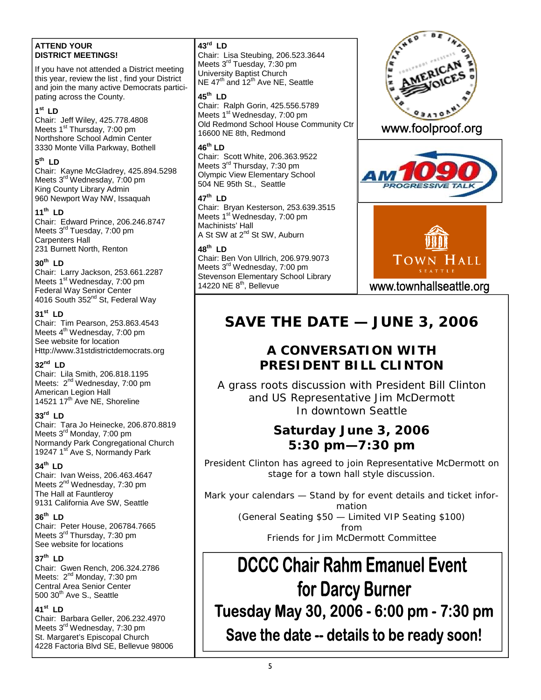#### **ATTEND YOUR DISTRICT MEETINGS!**

If you have not attended a District meeting this year, review the list , find your District and join the many active Democrats participating across the County.

#### **1st LD**

Chair: Jeff Wiley, 425.778.4808 Meets 1<sup>st</sup> Thursday, 7:00 pm Northshore School Admin Center 3330 Monte Villa Parkway, Bothell

#### **5th LD**

Chair: Kayne McGladrey, 425.894.5298 Meets 3rd Wednesday, 7:00 pm King County Library Admin 960 Newport Way NW, Issaquah

#### **11th LD**

Chair: Edward Prince, 206.246.8747 Meets 3rd Tuesday, 7:00 pm Carpenters Hall 231 Burnett North, Renton

#### **30th LD**

Chair: Larry Jackson, 253.661.2287 Meets 1<sup>st</sup> Wednesday, 7:00 pm Federal Way Senior Center 4016 South 352<sup>nd</sup> St, Federal Way

#### **31st LD**

Chair: Tim Pearson, 253.863.4543 Meets 4<sup>th</sup> Wednesday, 7:00 pm See website for location Http://www.31stdistrictdemocrats.org

#### **32nd LD**

Chair: Lila Smith, 206.818.1195 Meets: 2<sup>nd</sup> Wednesday, 7:00 pm American Legion Hall 14521 17<sup>th</sup> Ave NE, Shoreline

#### **33rd LD**

Chair: Tara Jo Heinecke, 206.870.8819 Meets 3rd Monday, 7:00 pm Normandy Park Congregational Church 19247 1st Ave S, Normandy Park

#### **34th LD**

Chair: Ivan Weiss, 206.463.4647 Meets 2<sup>nd</sup> Wednesday, 7:30 pm The Hall at Fauntleroy 9131 California Ave SW, Seattle

#### **36th LD**

Chair: Peter House, 206784.7665 Meets 3<sup>rd</sup> Thursday, 7:30 pm See website for locations

#### **37th LD**

Chair: Gwen Rench, 206.324.2786 Meets: 2<sup>nd</sup> Monday, 7:30 pm Central Area Senior Center  $500$   $30<sup>th</sup>$  Ave S., Seattle

#### **41st LD**

Chair: Barbara Geller, 206.232.4970 Meets 3<sup>rd</sup> Wednesday, 7:30 pm St. Margaret's Episcopal Church 4228 Factoria Blvd SE, Bellevue 98006

#### **43rd LD**

Chair: Lisa Steubing, 206.523.3644 Meets 3<sup>rd</sup> Tuesday, 7:30 pm University Baptist Church NE 47<sup>th</sup> and 12<sup>th</sup> Ave NE, Seattle

#### **45th LD**

Chair: Ralph Gorin, 425.556.5789 Meets 1<sup>st</sup> Wednesday, 7:00 pm Old Redmond School House Community Ctr 16600 NE 8th, Redmond

#### **46th LD**

Chair: Scott White, 206.363.9522 Meets 3<sup>rd</sup> Thursday, 7:30 pm Olympic View Elementary School 504 NE 95th St., Seattle

#### **47th LD**

Chair: Bryan Kesterson, 253.639.3515 Meets 1<sup>st</sup> Wednesday, 7:00 pm Machinists' Hall A St SW at 2<sup>nd</sup> St SW, Auburn

#### **48th LD**

Chair: Ben Von Ullrich, 206.979.9073 Meets 3<sup>rd</sup> Wednesday, 7:00 pm Stevenson Elementary School Library 14220 NE 8<sup>th</sup>, Bellevue



### www.foolproof.org





www.townhallseattle.org

## **SAVE THE DATE — JUNE 3, 2006**

## **A CONVERSATION WITH PRESIDENT BILL CLINTON**

A grass roots discussion with President Bill Clinton and US Representative Jim McDermott In downtown Seattle

## **Saturday June 3, 2006 5:30 pm—7:30 pm**

President Clinton has agreed to join Representative McDermott on stage for a town hall style discussion.

Mark your calendars — Stand by for event details and ticket information

(General Seating \$50 — Limited VIP Seating \$100) from Friends for Jim McDermott Committee

# **DCCC Chair Rahm Emanuel Event** for Darcy Burner Tuesday May 30, 2006 - 6:00 pm - 7:30 pm Save the date -- details to be ready soon!